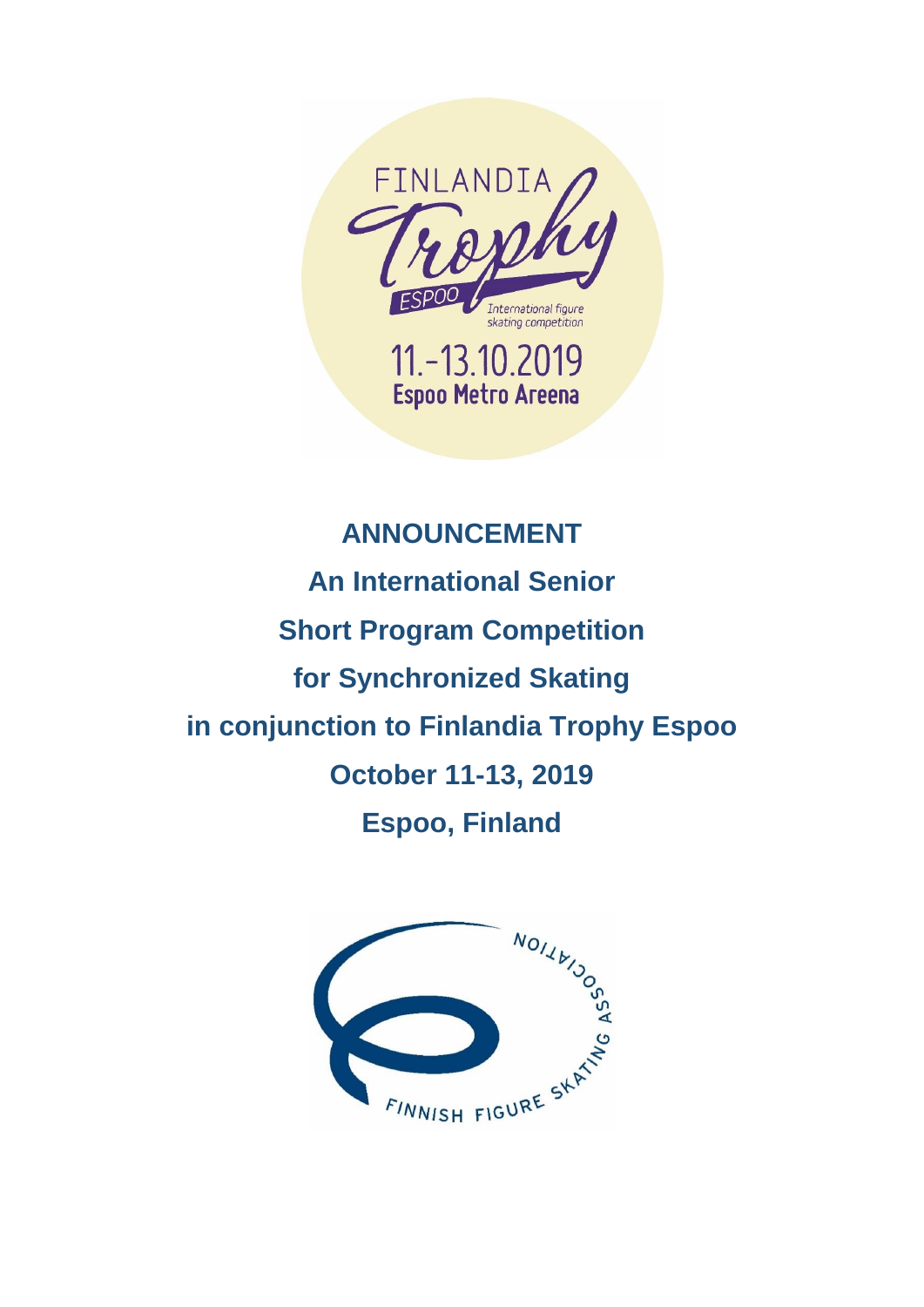

# **ANNOUNCEMENT An International Senior Short Program Competition for Synchronized Skating in conjunction to Finlandia Trophy Espoo October 11-13, 2019 Espoo, Finland**

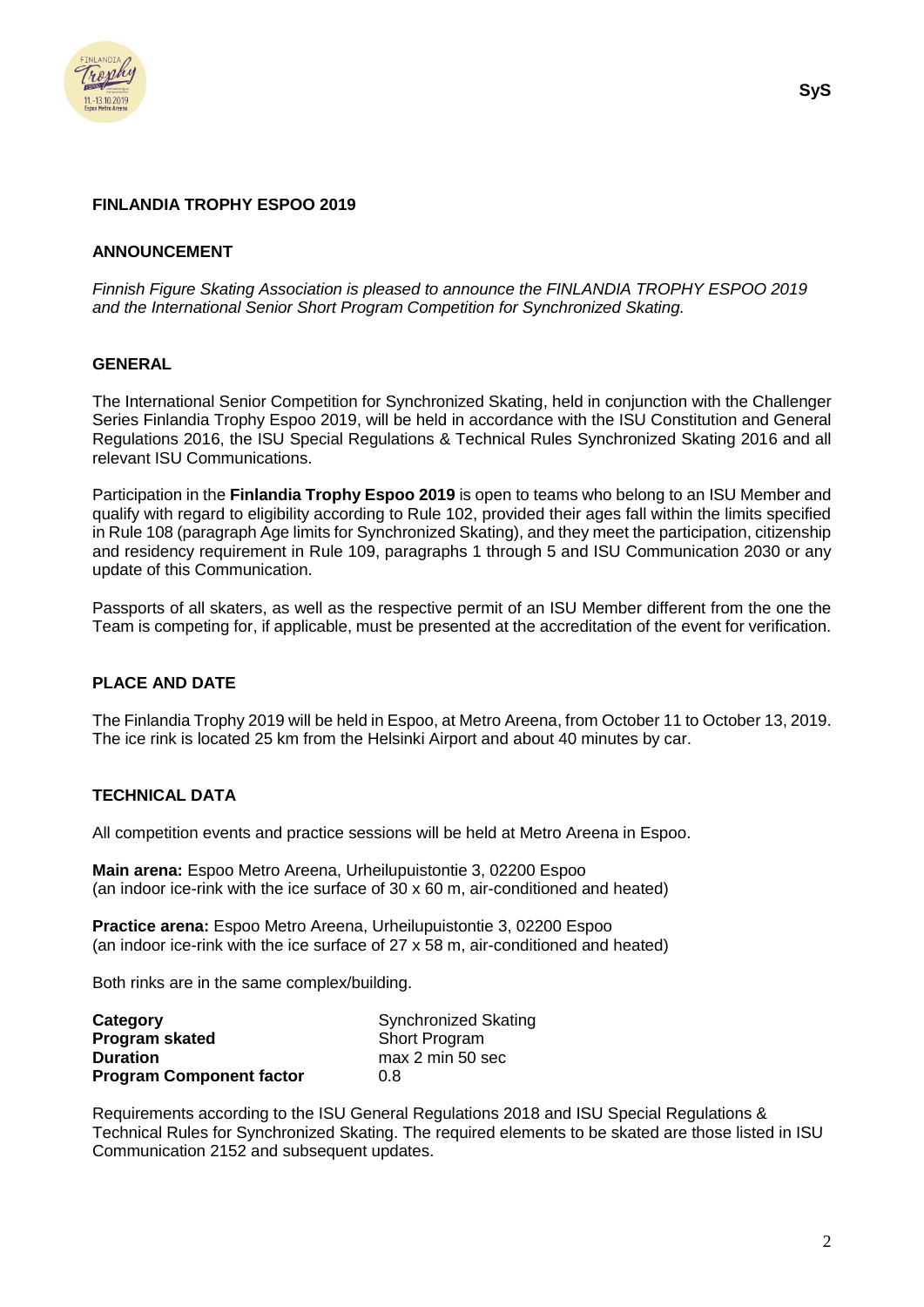

#### **ANNOUNCEMENT**

*Finnish Figure Skating Association is pleased to announce the FINLANDIA TROPHY ESPOO 2019 and the International Senior Short Program Competition for Synchronized Skating.*

#### **GENERAL**

The International Senior Competition for Synchronized Skating, held in conjunction with the Challenger Series Finlandia Trophy Espoo 2019, will be held in accordance with the ISU Constitution and General Regulations 2016, the ISU Special Regulations & Technical Rules Synchronized Skating 2016 and all relevant ISU Communications.

Participation in the **Finlandia Trophy Espoo 2019** is open to teams who belong to an ISU Member and qualify with regard to eligibility according to Rule 102, provided their ages fall within the limits specified in Rule 108 (paragraph Age limits for Synchronized Skating), and they meet the participation, citizenship and residency requirement in Rule 109, paragraphs 1 through 5 and ISU Communication 2030 or any update of this Communication.

Passports of all skaters, as well as the respective permit of an ISU Member different from the one the Team is competing for, if applicable, must be presented at the accreditation of the event for verification.

# **PLACE AND DATE**

The Finlandia Trophy 2019 will be held in Espoo, at Metro Areena, from October 11 to October 13, 2019. The ice rink is located 25 km from the Helsinki Airport and about 40 minutes by car.

# **TECHNICAL DATA**

All competition events and practice sessions will be held at Metro Areena in Espoo.

**Main arena:** Espoo Metro Areena, Urheilupuistontie 3, 02200 Espoo (an indoor ice-rink with the ice surface of 30 x 60 m, air-conditioned and heated)

**Practice arena:** Espoo Metro Areena, Urheilupuistontie 3, 02200 Espoo (an indoor ice-rink with the ice surface of 27 x 58 m, air-conditioned and heated)

Both rinks are in the same complex/building.

| Category                        | <b>Synchronized Skating</b> |
|---------------------------------|-----------------------------|
| <b>Program skated</b>           | <b>Short Program</b>        |
| <b>Duration</b>                 | max 2 min 50 sec            |
| <b>Program Component factor</b> | 0.8                         |

Requirements according to the ISU General Regulations 2018 and ISU Special Regulations & Technical Rules for Synchronized Skating. The required elements to be skated are those listed in ISU Communication 2152 and subsequent updates.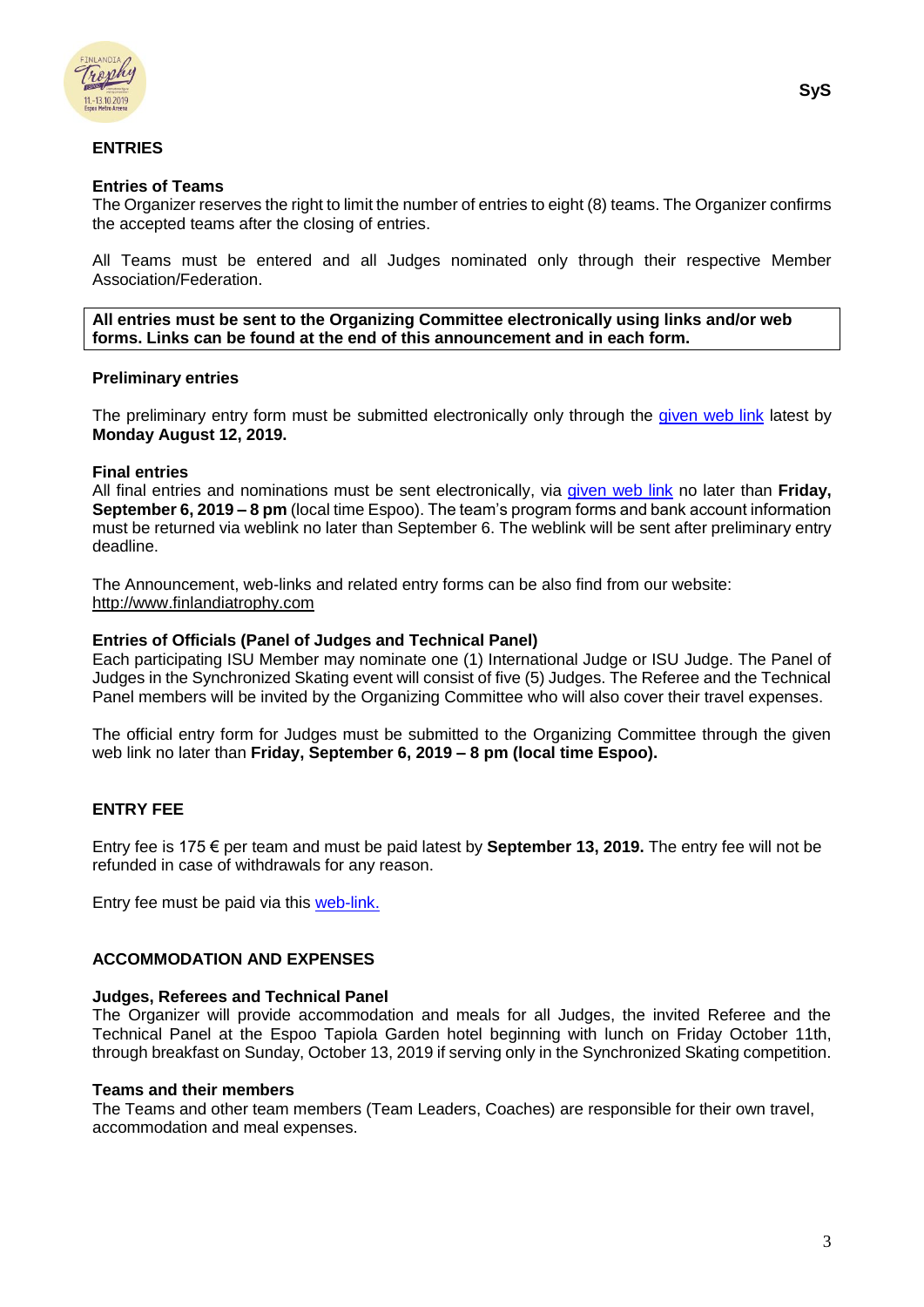

# **ENTRIES**

### **Entries of Teams**

The Organizer reserves the right to limit the number of entries to eight (8) teams. The Organizer confirms the accepted teams after the closing of entries.

All Teams must be entered and all Judges nominated only through their respective Member Association/Federation.

**All entries must be sent to the Organizing Committee electronically using links and/or web forms. Links can be found at the end of this announcement and in each form.**

#### **Preliminary entries**

The preliminary entry form must be submitted electronically only through the given [web link](https://www.lyyti.in/FT2019_Sys_Preliminary_and_Entry_Form) latest by **Monday August 12, 2019.**

# **Final entries**

All final entries and nominations must be sent electronically, via given [web link](https://www.lyyti.in/FT2019_Sys_Preliminary_and_Entry_Form) no later than **Friday, September 6, 2019 – 8 pm** (local time Espoo). The team's program forms and bank account information must be returned via weblink no later than September 6. The weblink will be sent after preliminary entry deadline.

The Announcement, web-links and related entry forms can be also find from our website: [http://www.finlandiatrophy.com](http://www.finlandiatrophy.com/)

#### **Entries of Officials (Panel of Judges and Technical Panel)**

Each participating ISU Member may nominate one (1) International Judge or ISU Judge. The Panel of Judges in the Synchronized Skating event will consist of five (5) Judges. The Referee and the Technical Panel members will be invited by the Organizing Committee who will also cover their travel expenses.

The official entry form for Judges must be submitted to the Organizing Committee through the given web link no later than **Friday, September 6, 2019 – 8 pm (local time Espoo).**

# **ENTRY FEE**

Entry fee is 175 € per team and must be paid latest by **September 13, 2019.** The entry fee will not be refunded in case of withdrawals for any reason.

Entry fee must be paid via this [web-link.](https://www.lyyti.fi/reg/FT2019_CS_Entry_Fee_for_Competitors_5223)

# **ACCOMMODATION AND EXPENSES**

#### **Judges, Referees and Technical Panel**

The Organizer will provide accommodation and meals for all Judges, the invited Referee and the Technical Panel at the Espoo Tapiola Garden hotel beginning with lunch on Friday October 11th, through breakfast on Sunday, October 13, 2019 if serving only in the Synchronized Skating competition.

#### **Teams and their members**

The Teams and other team members (Team Leaders, Coaches) are responsible for their own travel, accommodation and meal expenses.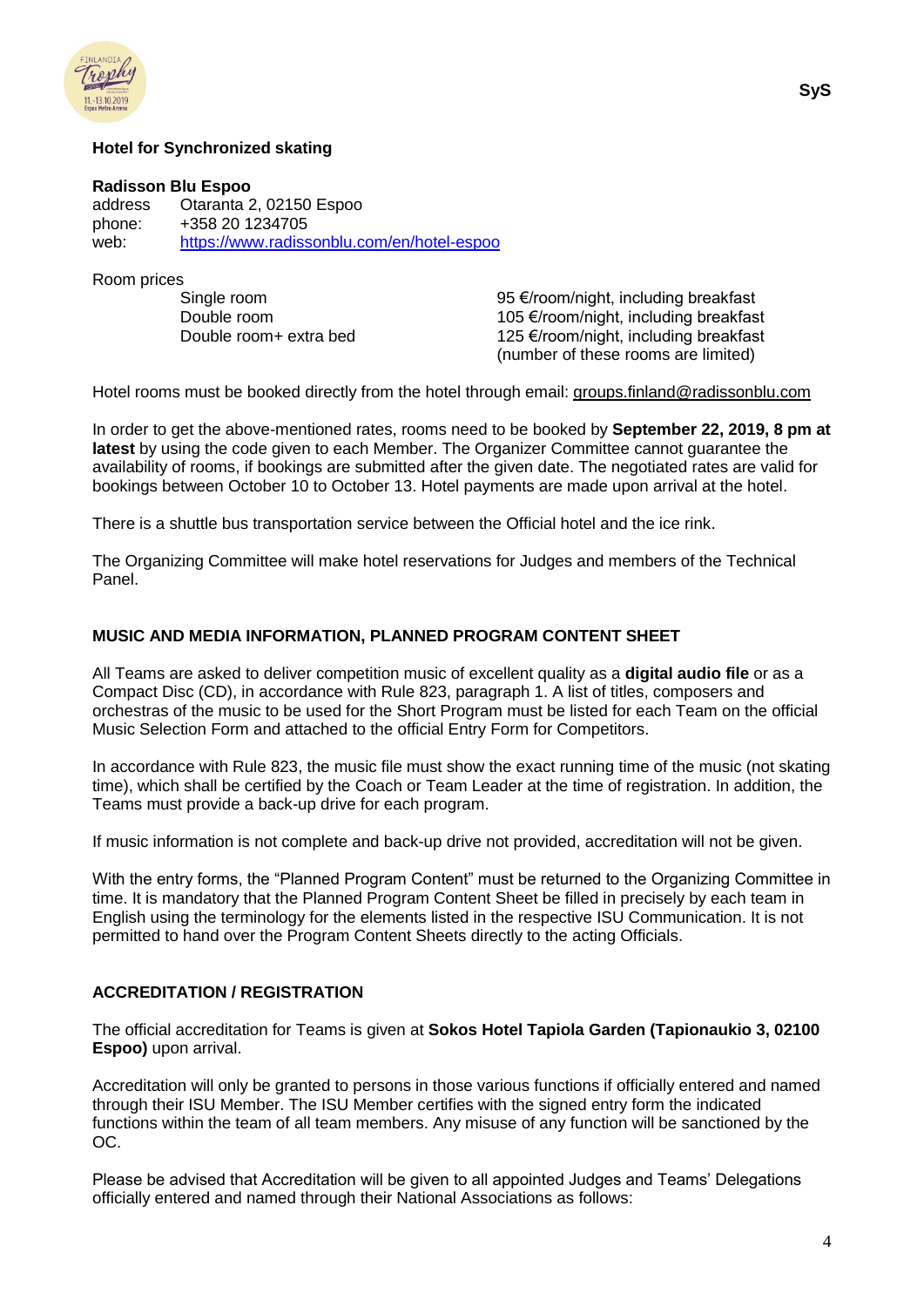

# **Hotel for Synchronized skating**

#### **Radisson Blu Espoo**

address Otaranta 2, 02150 Espoo phone: +358 20 1234705 web: <https://www.radissonblu.com/en/hotel-espoo>

Room prices

Single room 95 €/room/night, including breakfast Double room 105 €/room/night, including breakfast Double room+ extra bed 125 €/room/night, including breakfast (number of these rooms are limited)

Hotel rooms must be booked directly from the hotel through email: [groups.finland@radissonblu.com](mailto:groups.finland@radissonblu.com)

In order to get the above-mentioned rates, rooms need to be booked by **September 22, 2019, 8 pm at latest** by using the code given to each Member. The Organizer Committee cannot guarantee the availability of rooms, if bookings are submitted after the given date. The negotiated rates are valid for bookings between October 10 to October 13. Hotel payments are made upon arrival at the hotel.

There is a shuttle bus transportation service between the Official hotel and the ice rink.

The Organizing Committee will make hotel reservations for Judges and members of the Technical Panel.

#### **MUSIC AND MEDIA INFORMATION, PLANNED PROGRAM CONTENT SHEET**

All Teams are asked to deliver competition music of excellent quality as a **digital audio file** or as a Compact Disc (CD), in accordance with Rule 823, paragraph 1. A list of titles, composers and orchestras of the music to be used for the Short Program must be listed for each Team on the official Music Selection Form and attached to the official Entry Form for Competitors.

In accordance with Rule 823, the music file must show the exact running time of the music (not skating time), which shall be certified by the Coach or Team Leader at the time of registration. In addition, the Teams must provide a back-up drive for each program.

If music information is not complete and back-up drive not provided, accreditation will not be given.

With the entry forms, the "Planned Program Content" must be returned to the Organizing Committee in time. It is mandatory that the Planned Program Content Sheet be filled in precisely by each team in English using the terminology for the elements listed in the respective ISU Communication. It is not permitted to hand over the Program Content Sheets directly to the acting Officials.

#### **ACCREDITATION / REGISTRATION**

The official accreditation for Teams is given at **Sokos Hotel Tapiola Garden (Tapionaukio 3, 02100 Espoo)** upon arrival.

Accreditation will only be granted to persons in those various functions if officially entered and named through their ISU Member. The ISU Member certifies with the signed entry form the indicated functions within the team of all team members. Any misuse of any function will be sanctioned by the OC.

Please be advised that Accreditation will be given to all appointed Judges and Teams' Delegations officially entered and named through their National Associations as follows: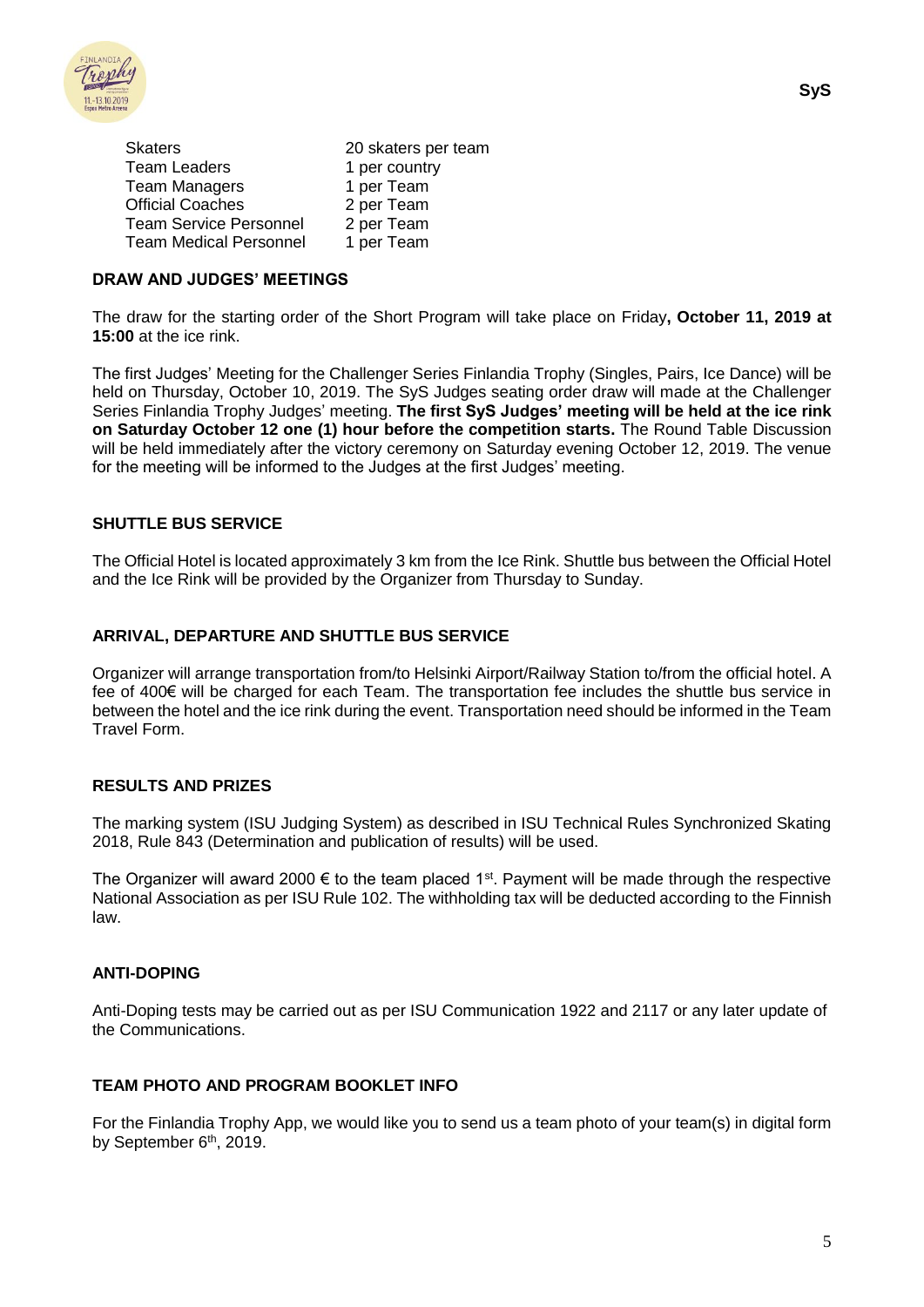

| <b>Skaters</b>                | 20 skaters per team |
|-------------------------------|---------------------|
| <b>Team Leaders</b>           | 1 per country       |
| Team Managers                 | 1 per Team          |
| <b>Official Coaches</b>       | 2 per Team          |
| <b>Team Service Personnel</b> | 2 per Team          |
| Team Medical Personnel        | 1 per Team          |

#### **DRAW AND JUDGES' MEETINGS**

The draw for the starting order of the Short Program will take place on Friday**, October 11, 2019 at 15:00** at the ice rink.

The first Judges' Meeting for the Challenger Series Finlandia Trophy (Singles, Pairs, Ice Dance) will be held on Thursday, October 10, 2019. The SyS Judges seating order draw will made at the Challenger Series Finlandia Trophy Judges' meeting. **The first SyS Judges' meeting will be held at the ice rink on Saturday October 12 one (1) hour before the competition starts.** The Round Table Discussion will be held immediately after the victory ceremony on Saturday evening October 12, 2019. The venue for the meeting will be informed to the Judges at the first Judges' meeting.

#### **SHUTTLE BUS SERVICE**

The Official Hotel is located approximately 3 km from the Ice Rink. Shuttle bus between the Official Hotel and the Ice Rink will be provided by the Organizer from Thursday to Sunday.

#### **ARRIVAL, DEPARTURE AND SHUTTLE BUS SERVICE**

Organizer will arrange transportation from/to Helsinki Airport/Railway Station to/from the official hotel. A fee of 400€ will be charged for each Team. The transportation fee includes the shuttle bus service in between the hotel and the ice rink during the event. Transportation need should be informed in the Team Travel Form.

#### **RESULTS AND PRIZES**

The marking system (ISU Judging System) as described in ISU Technical Rules Synchronized Skating 2018, Rule 843 (Determination and publication of results) will be used.

The Organizer will award 2000  $\epsilon$  to the team placed 1<sup>st</sup>. Payment will be made through the respective National Association as per ISU Rule 102. The withholding tax will be deducted according to the Finnish law.

#### **ANTI-DOPING**

Anti-Doping tests may be carried out as per ISU Communication 1922 and 2117 or any later update of the Communications.

#### **TEAM PHOTO AND PROGRAM BOOKLET INFO**

For the Finlandia Trophy App, we would like you to send us a team photo of your team(s) in digital form by September 6<sup>th</sup>, 2019.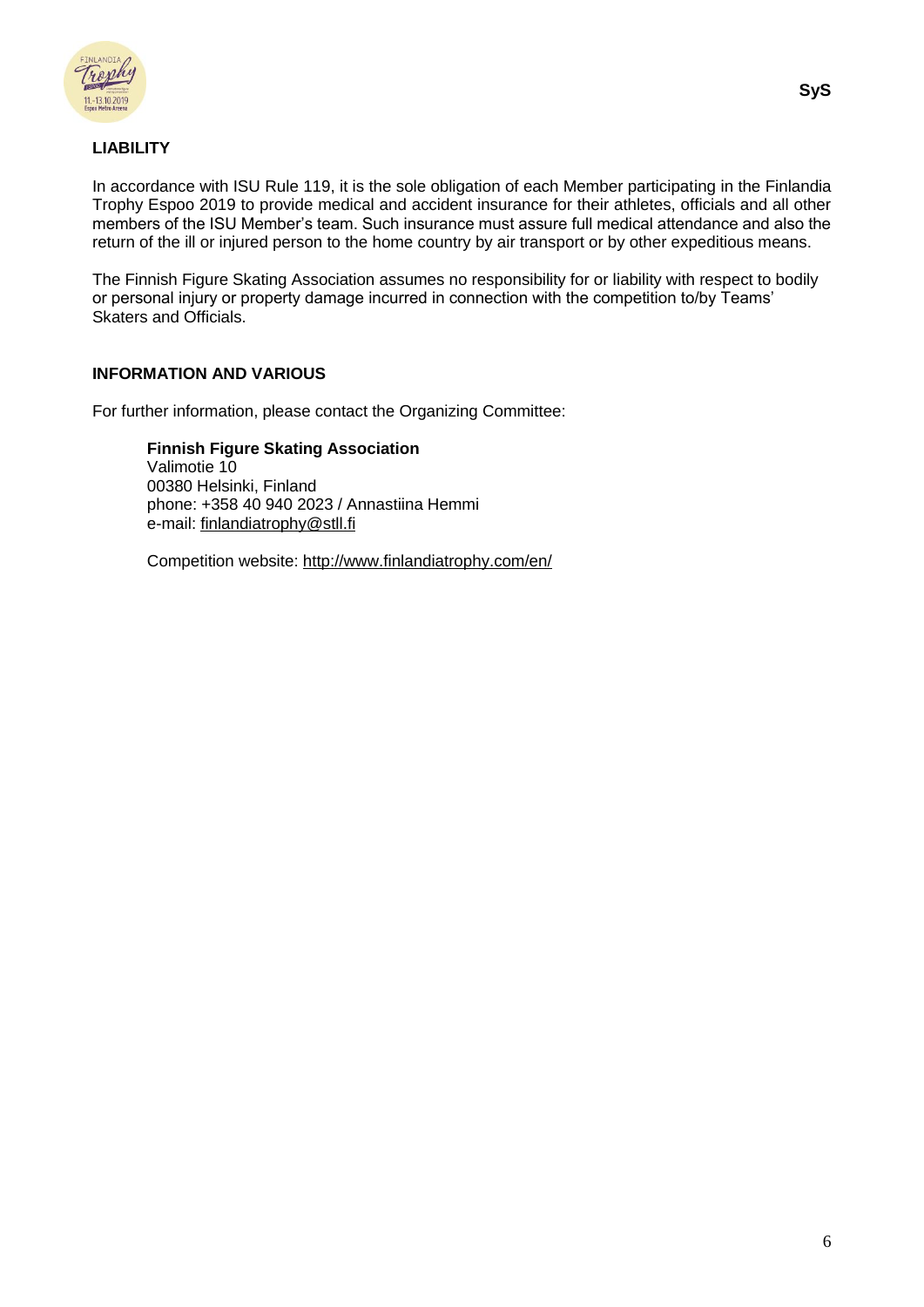

# **LIABILITY**

In accordance with ISU Rule 119, it is the sole obligation of each Member participating in the Finlandia Trophy Espoo 2019 to provide medical and accident insurance for their athletes, officials and all other members of the ISU Member's team. Such insurance must assure full medical attendance and also the return of the ill or injured person to the home country by air transport or by other expeditious means.

The Finnish Figure Skating Association assumes no responsibility for or liability with respect to bodily or personal injury or property damage incurred in connection with the competition to/by Teams' Skaters and Officials.

# **INFORMATION AND VARIOUS**

For further information, please contact the Organizing Committee:

**Finnish Figure Skating Association** Valimotie 10 00380 Helsinki, Finland phone: +358 40 940 2023 / Annastiina Hemmi e-mail: [finlandiatrophy@stll.fi](mailto:finlandiatrophy@stll.fi)

Competition website:<http://www.finlandiatrophy.com/en/>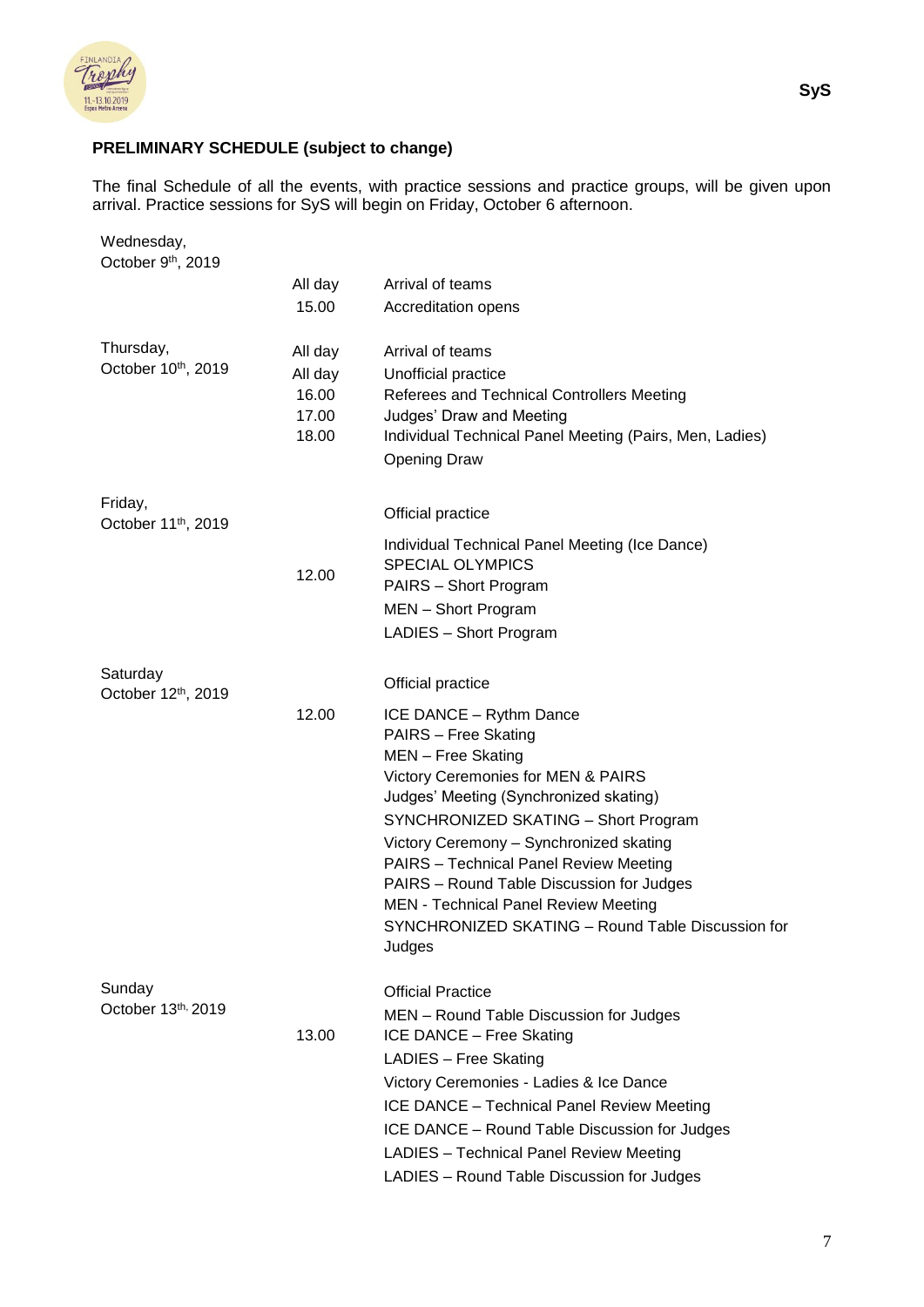

# **PRELIMINARY SCHEDULE (subject to change)**

The final Schedule of all the events, with practice sessions and practice groups, will be given upon arrival. Practice sessions for SyS will begin on Friday, October 6 afternoon.

| All day<br>Arrival of teams<br>15.00<br>Accreditation opens<br>Thursday,<br>All day<br>Arrival of teams<br>All day<br>Unofficial practice<br>16.00<br>Referees and Technical Controllers Meeting<br>17.00<br>Judges' Draw and Meeting<br>18.00<br>Individual Technical Panel Meeting (Pairs, Men, Ladies)<br><b>Opening Draw</b><br>Friday,<br>Official practice<br>October 11 <sup>th</sup> , 2019<br>Individual Technical Panel Meeting (Ice Dance)<br><b>SPECIAL OLYMPICS</b><br>12.00<br>PAIRS - Short Program<br>MEN - Short Program<br>LADIES - Short Program<br>Saturday<br>Official practice<br>October 12th, 2019<br>12.00<br>ICE DANCE - Rythm Dance<br><b>PAIRS - Free Skating</b><br>MEN - Free Skating<br>Victory Ceremonies for MEN & PAIRS<br>Judges' Meeting (Synchronized skating)<br>SYNCHRONIZED SKATING - Short Program<br>Victory Ceremony - Synchronized skating<br><b>PAIRS</b> - Technical Panel Review Meeting<br>PAIRS - Round Table Discussion for Judges<br><b>MEN</b> - Technical Panel Review Meeting<br>SYNCHRONIZED SKATING - Round Table Discussion for<br>Judges<br>Sunday<br><b>Official Practice</b><br>October 13th, 2019<br>MEN - Round Table Discussion for Judges<br>13.00<br>ICE DANCE - Free Skating | Wednesday,<br>October 9th, 2019 |                       |
|------------------------------------------------------------------------------------------------------------------------------------------------------------------------------------------------------------------------------------------------------------------------------------------------------------------------------------------------------------------------------------------------------------------------------------------------------------------------------------------------------------------------------------------------------------------------------------------------------------------------------------------------------------------------------------------------------------------------------------------------------------------------------------------------------------------------------------------------------------------------------------------------------------------------------------------------------------------------------------------------------------------------------------------------------------------------------------------------------------------------------------------------------------------------------------------------------------------------------------------------|---------------------------------|-----------------------|
|                                                                                                                                                                                                                                                                                                                                                                                                                                                                                                                                                                                                                                                                                                                                                                                                                                                                                                                                                                                                                                                                                                                                                                                                                                                |                                 |                       |
|                                                                                                                                                                                                                                                                                                                                                                                                                                                                                                                                                                                                                                                                                                                                                                                                                                                                                                                                                                                                                                                                                                                                                                                                                                                |                                 |                       |
|                                                                                                                                                                                                                                                                                                                                                                                                                                                                                                                                                                                                                                                                                                                                                                                                                                                                                                                                                                                                                                                                                                                                                                                                                                                | October 10th, 2019              |                       |
|                                                                                                                                                                                                                                                                                                                                                                                                                                                                                                                                                                                                                                                                                                                                                                                                                                                                                                                                                                                                                                                                                                                                                                                                                                                |                                 |                       |
|                                                                                                                                                                                                                                                                                                                                                                                                                                                                                                                                                                                                                                                                                                                                                                                                                                                                                                                                                                                                                                                                                                                                                                                                                                                |                                 |                       |
|                                                                                                                                                                                                                                                                                                                                                                                                                                                                                                                                                                                                                                                                                                                                                                                                                                                                                                                                                                                                                                                                                                                                                                                                                                                |                                 |                       |
|                                                                                                                                                                                                                                                                                                                                                                                                                                                                                                                                                                                                                                                                                                                                                                                                                                                                                                                                                                                                                                                                                                                                                                                                                                                |                                 |                       |
|                                                                                                                                                                                                                                                                                                                                                                                                                                                                                                                                                                                                                                                                                                                                                                                                                                                                                                                                                                                                                                                                                                                                                                                                                                                |                                 |                       |
|                                                                                                                                                                                                                                                                                                                                                                                                                                                                                                                                                                                                                                                                                                                                                                                                                                                                                                                                                                                                                                                                                                                                                                                                                                                |                                 |                       |
|                                                                                                                                                                                                                                                                                                                                                                                                                                                                                                                                                                                                                                                                                                                                                                                                                                                                                                                                                                                                                                                                                                                                                                                                                                                |                                 |                       |
|                                                                                                                                                                                                                                                                                                                                                                                                                                                                                                                                                                                                                                                                                                                                                                                                                                                                                                                                                                                                                                                                                                                                                                                                                                                |                                 |                       |
|                                                                                                                                                                                                                                                                                                                                                                                                                                                                                                                                                                                                                                                                                                                                                                                                                                                                                                                                                                                                                                                                                                                                                                                                                                                |                                 |                       |
|                                                                                                                                                                                                                                                                                                                                                                                                                                                                                                                                                                                                                                                                                                                                                                                                                                                                                                                                                                                                                                                                                                                                                                                                                                                |                                 |                       |
|                                                                                                                                                                                                                                                                                                                                                                                                                                                                                                                                                                                                                                                                                                                                                                                                                                                                                                                                                                                                                                                                                                                                                                                                                                                |                                 |                       |
|                                                                                                                                                                                                                                                                                                                                                                                                                                                                                                                                                                                                                                                                                                                                                                                                                                                                                                                                                                                                                                                                                                                                                                                                                                                |                                 |                       |
|                                                                                                                                                                                                                                                                                                                                                                                                                                                                                                                                                                                                                                                                                                                                                                                                                                                                                                                                                                                                                                                                                                                                                                                                                                                |                                 |                       |
|                                                                                                                                                                                                                                                                                                                                                                                                                                                                                                                                                                                                                                                                                                                                                                                                                                                                                                                                                                                                                                                                                                                                                                                                                                                |                                 |                       |
|                                                                                                                                                                                                                                                                                                                                                                                                                                                                                                                                                                                                                                                                                                                                                                                                                                                                                                                                                                                                                                                                                                                                                                                                                                                |                                 | LADIES - Free Skating |
| Victory Ceremonies - Ladies & Ice Dance                                                                                                                                                                                                                                                                                                                                                                                                                                                                                                                                                                                                                                                                                                                                                                                                                                                                                                                                                                                                                                                                                                                                                                                                        |                                 |                       |
| ICE DANCE - Technical Panel Review Meeting                                                                                                                                                                                                                                                                                                                                                                                                                                                                                                                                                                                                                                                                                                                                                                                                                                                                                                                                                                                                                                                                                                                                                                                                     |                                 |                       |
| ICE DANCE - Round Table Discussion for Judges<br>LADIES - Technical Panel Review Meeting                                                                                                                                                                                                                                                                                                                                                                                                                                                                                                                                                                                                                                                                                                                                                                                                                                                                                                                                                                                                                                                                                                                                                       |                                 |                       |
| LADIES - Round Table Discussion for Judges                                                                                                                                                                                                                                                                                                                                                                                                                                                                                                                                                                                                                                                                                                                                                                                                                                                                                                                                                                                                                                                                                                                                                                                                     |                                 |                       |